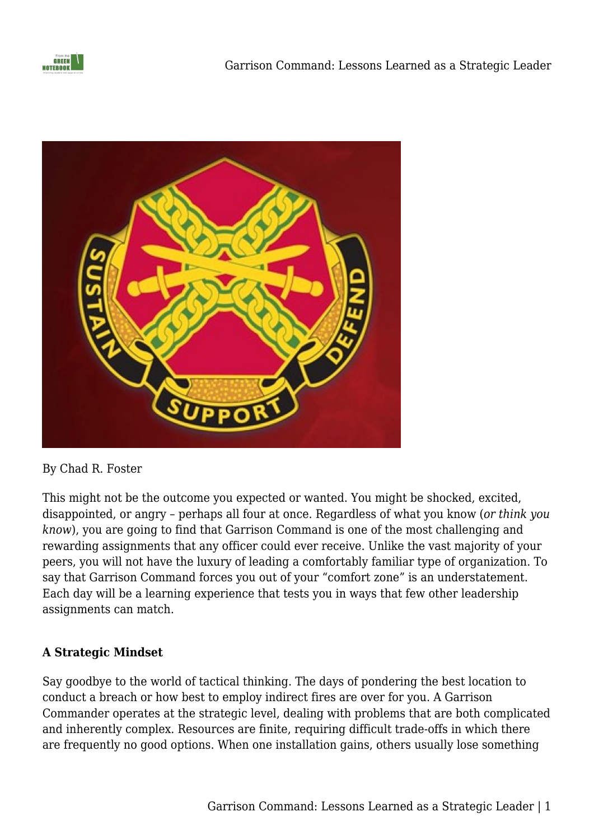



By Chad R. Foster

This might not be the outcome you expected or wanted. You might be shocked, excited, disappointed, or angry – perhaps all four at once. Regardless of what you know (*or think you know*), you are going to find that Garrison Command is one of the most challenging and rewarding assignments that any officer could ever receive. Unlike the vast majority of your peers, you will not have the luxury of leading a comfortably familiar type of organization. To say that Garrison Command forces you out of your "comfort zone" is an understatement. Each day will be a learning experience that tests you in ways that few other leadership assignments can match.

## **A Strategic Mindset**

Say goodbye to the world of tactical thinking. The days of pondering the best location to conduct a breach or how best to employ indirect fires are over for you. A Garrison Commander operates at the strategic level, dealing with problems that are both complicated and inherently complex. Resources are finite, requiring difficult trade-offs in which there are frequently no good options. When one installation gains, others usually lose something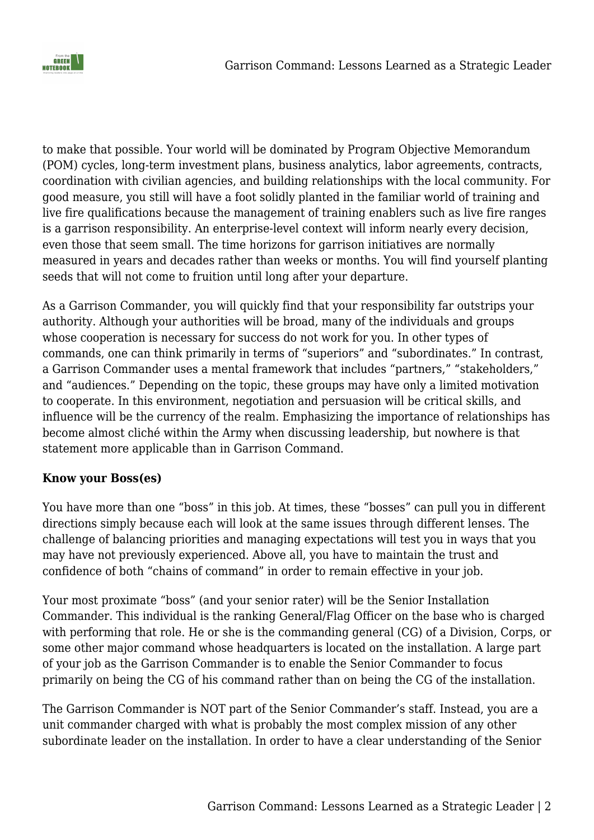

to make that possible. Your world will be dominated by Program Objective Memorandum (POM) cycles, long-term investment plans, business analytics, labor agreements, contracts, coordination with civilian agencies, and building relationships with the local community. For good measure, you still will have a foot solidly planted in the familiar world of training and live fire qualifications because the management of training enablers such as live fire ranges is a garrison responsibility. An enterprise-level context will inform nearly every decision, even those that seem small. The time horizons for garrison initiatives are normally measured in years and decades rather than weeks or months. You will find yourself planting seeds that will not come to fruition until long after your departure.

As a Garrison Commander, you will quickly find that your responsibility far outstrips your authority. Although your authorities will be broad, many of the individuals and groups whose cooperation is necessary for success do not work for you. In other types of commands, one can think primarily in terms of "superiors" and "subordinates." In contrast, a Garrison Commander uses a mental framework that includes "partners," "stakeholders," and "audiences." Depending on the topic, these groups may have only a limited motivation to cooperate. In this environment, negotiation and persuasion will be critical skills, and influence will be the currency of the realm. Emphasizing the importance of relationships has become almost cliché within the Army when discussing leadership, but nowhere is that statement more applicable than in Garrison Command.

### **Know your Boss(es)**

You have more than one "boss" in this job. At times, these "bosses" can pull you in different directions simply because each will look at the same issues through different lenses. The challenge of balancing priorities and managing expectations will test you in ways that you may have not previously experienced. Above all, you have to maintain the trust and confidence of both "chains of command" in order to remain effective in your job.

Your most proximate "boss" (and your senior rater) will be the Senior Installation Commander. This individual is the ranking General/Flag Officer on the base who is charged with performing that role. He or she is the commanding general (CG) of a Division, Corps, or some other major command whose headquarters is located on the installation. A large part of your job as the Garrison Commander is to enable the Senior Commander to focus primarily on being the CG of his command rather than on being the CG of the installation.

The Garrison Commander is NOT part of the Senior Commander's staff. Instead, you are a unit commander charged with what is probably the most complex mission of any other subordinate leader on the installation. In order to have a clear understanding of the Senior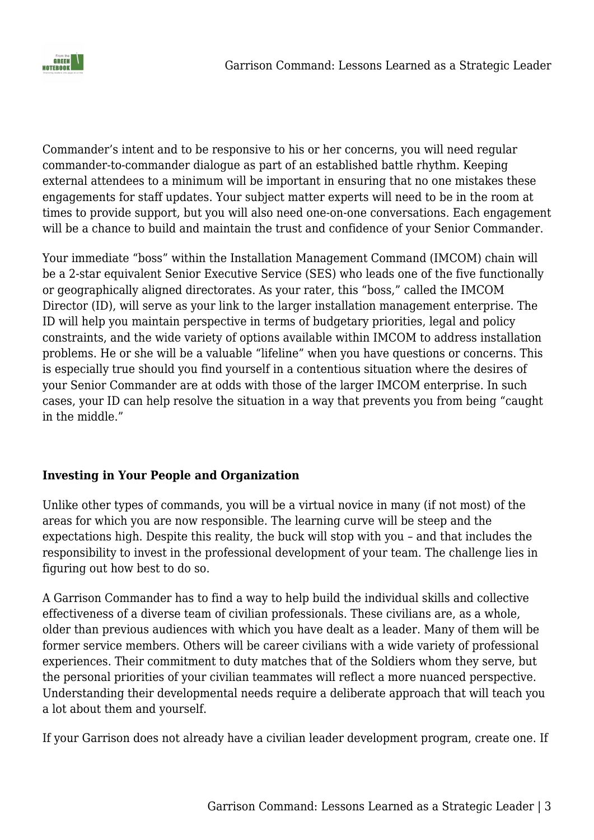

Commander's intent and to be responsive to his or her concerns, you will need regular commander-to-commander dialogue as part of an established battle rhythm. Keeping external attendees to a minimum will be important in ensuring that no one mistakes these engagements for staff updates. Your subject matter experts will need to be in the room at times to provide support, but you will also need one-on-one conversations. Each engagement will be a chance to build and maintain the trust and confidence of your Senior Commander.

Your immediate "boss" within the Installation Management Command (IMCOM) chain will be a 2-star equivalent Senior Executive Service (SES) who leads one of the five functionally or geographically aligned directorates. As your rater, this "boss," called the IMCOM Director (ID), will serve as your link to the larger installation management enterprise. The ID will help you maintain perspective in terms of budgetary priorities, legal and policy constraints, and the wide variety of options available within IMCOM to address installation problems. He or she will be a valuable "lifeline" when you have questions or concerns. This is especially true should you find yourself in a contentious situation where the desires of your Senior Commander are at odds with those of the larger IMCOM enterprise. In such cases, your ID can help resolve the situation in a way that prevents you from being "caught in the middle."

## **Investing in Your People and Organization**

Unlike other types of commands, you will be a virtual novice in many (if not most) of the areas for which you are now responsible. The learning curve will be steep and the expectations high. Despite this reality, the buck will stop with you – and that includes the responsibility to invest in the professional development of your team. The challenge lies in figuring out how best to do so.

A Garrison Commander has to find a way to help build the individual skills and collective effectiveness of a diverse team of civilian professionals. These civilians are, as a whole, older than previous audiences with which you have dealt as a leader. Many of them will be former service members. Others will be career civilians with a wide variety of professional experiences. Their commitment to duty matches that of the Soldiers whom they serve, but the personal priorities of your civilian teammates will reflect a more nuanced perspective. Understanding their developmental needs require a deliberate approach that will teach you a lot about them and yourself.

If your Garrison does not already have a civilian leader development program, create one. If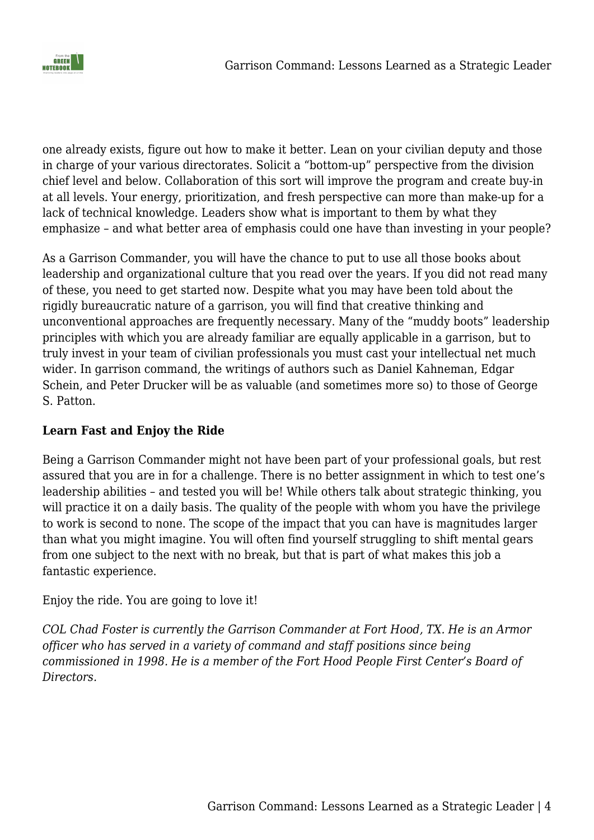

one already exists, figure out how to make it better. Lean on your civilian deputy and those in charge of your various directorates. Solicit a "bottom-up" perspective from the division chief level and below. Collaboration of this sort will improve the program and create buy-in at all levels. Your energy, prioritization, and fresh perspective can more than make-up for a lack of technical knowledge. Leaders show what is important to them by what they emphasize – and what better area of emphasis could one have than investing in your people?

As a Garrison Commander, you will have the chance to put to use all those books about leadership and organizational culture that you read over the years. If you did not read many of these, you need to get started now. Despite what you may have been told about the rigidly bureaucratic nature of a garrison, you will find that creative thinking and unconventional approaches are frequently necessary. Many of the "muddy boots" leadership principles with which you are already familiar are equally applicable in a garrison, but to truly invest in your team of civilian professionals you must cast your intellectual net much wider. In garrison command, the writings of authors such as Daniel Kahneman, Edgar Schein, and Peter Drucker will be as valuable (and sometimes more so) to those of George S. Patton.

## **Learn Fast and Enjoy the Ride**

Being a Garrison Commander might not have been part of your professional goals, but rest assured that you are in for a challenge. There is no better assignment in which to test one's leadership abilities – and tested you will be! While others talk about strategic thinking, you will practice it on a daily basis. The quality of the people with whom you have the privilege to work is second to none. The scope of the impact that you can have is magnitudes larger than what you might imagine. You will often find yourself struggling to shift mental gears from one subject to the next with no break, but that is part of what makes this job a fantastic experience.

Enjoy the ride. You are going to love it!

*COL Chad Foster is currently the Garrison Commander at Fort Hood, TX. He is an Armor officer who has served in a variety of command and staff positions since being commissioned in 1998. He is a member of the Fort Hood People First Center's Board of Directors.*